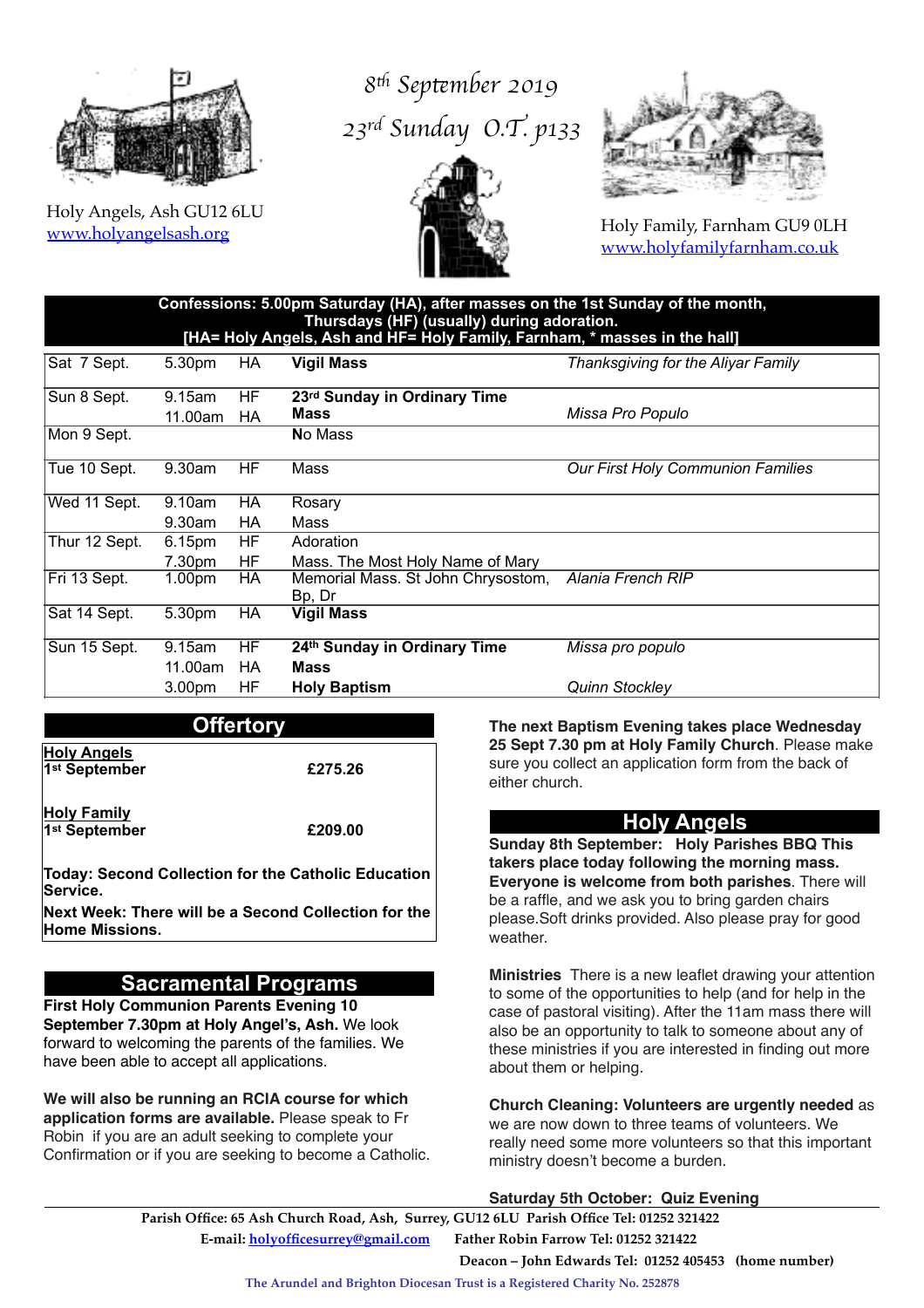

Holy Angels, Ash GU12 6LU [www.holyangelsash.org](http://www.holyangelsash.org)

# *8*<sup>t</sup> *Sep*t*mber 2019 23rd Sunday O.T. p133*





Holy Family, Farnham GU9 0LH [www.holyfamilyfarnham.co.uk](http://www.holyfamilyfarnham.co.uk)

## **Confessions: 5.00pm Saturday (HA), after masses on the 1st Sunday of the month, Thursdays (HF) (usually) during adoration. [HA= Holy Angels, Ash and HF= Holy Family, Farnham, \* masses in the hall]**  Sat 7 Sept. 5.30pm HA **Vigil Mass** *Thanksgiving for the Aliyar Family*

| Sun 8 Sept.   | 9.15am             | <b>HF</b> | 23rd Sunday in Ordinary Time                 |                                          |
|---------------|--------------------|-----------|----------------------------------------------|------------------------------------------|
|               | 11.00am            | HA        | Mass                                         | Missa Pro Populo                         |
| Mon 9 Sept.   |                    |           | <b>No Mass</b>                               |                                          |
| Tue 10 Sept.  | 9.30am             | <b>HF</b> | Mass                                         | <b>Our First Holy Communion Families</b> |
| Wed 11 Sept.  | 9.10am             | HA        | Rosary                                       |                                          |
|               | 9.30am             | HA        | Mass                                         |                                          |
| Thur 12 Sept. | 6.15pm             | HF        | Adoration                                    |                                          |
|               | 7.30pm             | HF        | Mass. The Most Holy Name of Mary             |                                          |
| Fri 13 Sept.  | 1.00 <sub>pm</sub> | HA        | Memorial Mass. St John Chrysostom,<br>Bp, Dr | Alania French RIP                        |
| Sat 14 Sept.  | 5.30pm             | НA        | <b>Vigil Mass</b>                            |                                          |
| Sun 15 Sept.  | 9.15am             | HF        | 24th Sunday in Ordinary Time                 | Missa pro populo                         |
|               | 11.00am            | НA        | Mass                                         |                                          |
|               | 3.00pm             | HF        | <b>Holy Baptism</b>                          | <b>Quinn Stockley</b>                    |

# **Offertory**

**Holy Angels 1st September £275.26 Holy Family 1st September £209.00** 

**Today: Second Collection for the Catholic Education Service.** 

**Next Week: There will be a Second Collection for the Home Missions.**

# **Sacramental Programs**

**First Holy Communion Parents Evening 10 September 7.30pm at Holy Angel's, Ash.** We look forward to welcoming the parents of the families. We have been able to accept all applications.

**We will also be running an RCIA course for which application forms are available.** Please speak to Fr Robin if you are an adult seeking to complete your Confirmation or if you are seeking to become a Catholic. **The next Baptism Evening takes place Wednesday 25 Sept 7.30 pm at Holy Family Church**. Please make sure you collect an application form from the back of either church.

## **Holy Angels**

**Sunday 8th September: Holy Parishes BBQ This takers place today following the morning mass. Everyone is welcome from both parishes**. There will be a raffle, and we ask you to bring garden chairs please.Soft drinks provided. Also please pray for good weather.

**Ministries** There is a new leaflet drawing your attention to some of the opportunities to help (and for help in the case of pastoral visiting). After the 11am mass there will also be an opportunity to talk to someone about any of these ministries if you are interested in finding out more about them or helping.

**Church Cleaning: Volunteers are urgently needed** as we are now down to three teams of volunteers. We really need some more volunteers so that this important ministry doesn't become a burden.

#### **Saturday 5th October: Quiz Evening**

 **Parish Office: 65 Ash Church Road, Ash, Surrey, GU12 6LU Parish Office Tel: 01252 321422 E-mail: [holyofficesurrey@gmail.com](mailto:holyofficesurrey@gmail.com?subject=) Father Robin Farrow Tel: 01252 321422 Deacon – John Edwards Tel: 01252 405453 (home number)**